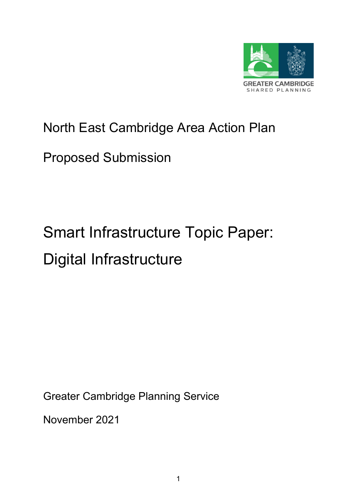

# North East Cambridge Area Action Plan

# Proposed Submission

# Smart Infrastructure Topic Paper: Digital Infrastructure

Greater Cambridge Planning Service

November 2021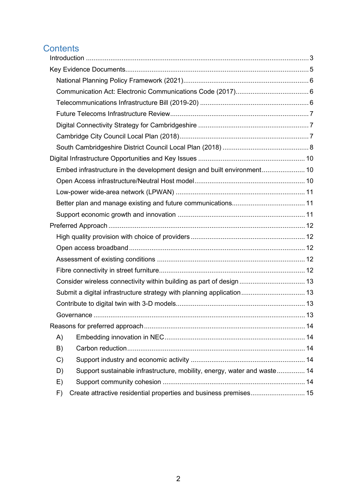# **Contents**

| Embed infrastructure in the development design and built environment 10        |  |
|--------------------------------------------------------------------------------|--|
|                                                                                |  |
|                                                                                |  |
|                                                                                |  |
|                                                                                |  |
|                                                                                |  |
|                                                                                |  |
|                                                                                |  |
|                                                                                |  |
|                                                                                |  |
| Consider wireless connectivity within building as part of design  13           |  |
| Submit a digital infrastructure strategy with planning application 13          |  |
|                                                                                |  |
|                                                                                |  |
|                                                                                |  |
| A)                                                                             |  |
| B)                                                                             |  |
| $\mathcal{C}$                                                                  |  |
| Support sustainable infrastructure, mobility, energy, water and waste 14<br>D) |  |
| E)                                                                             |  |
| F)                                                                             |  |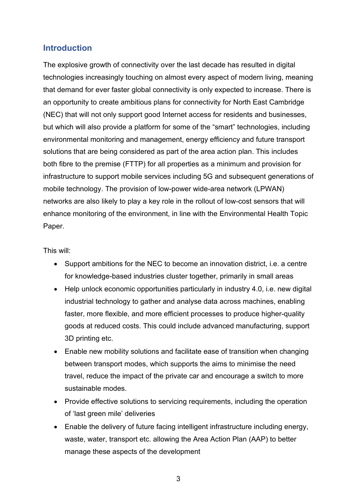## <span id="page-2-0"></span>**Introduction**

The explosive growth of connectivity over the last decade has resulted in digital technologies increasingly touching on almost every aspect of modern living, meaning that demand for ever faster global connectivity is only expected to increase. There is an opportunity to create ambitious plans for connectivity for North East Cambridge (NEC) that will not only support good Internet access for residents and businesses, but which will also provide a platform for some of the "smart" technologies, including environmental monitoring and management, energy efficiency and future transport solutions that are being considered as part of the area action plan. This includes both fibre to the premise (FTTP) for all properties as a minimum and provision for infrastructure to support mobile services including 5G and subsequent generations of mobile technology. The provision of low-power wide-area network (LPWAN) networks are also likely to play a key role in the rollout of low-cost sensors that will enhance monitoring of the environment, in line with the Environmental Health Topic Paper.

This will:

- Support ambitions for the NEC to become an innovation district, i.e. a centre for knowledge-based industries cluster together, primarily in small areas
- Help unlock economic opportunities particularly in industry 4.0, i.e. new digital industrial technology to gather and analyse data across machines, enabling faster, more flexible, and more efficient processes to produce higher-quality goods at reduced costs. This could include advanced manufacturing, support 3D printing etc.
- Enable new mobility solutions and facilitate ease of transition when changing between transport modes, which supports the aims to minimise the need travel, reduce the impact of the private car and encourage a switch to more sustainable modes.
- Provide effective solutions to servicing requirements, including the operation of 'last green mile' deliveries
- Enable the delivery of future facing intelligent infrastructure including energy, waste, water, transport etc. allowing the Area Action Plan (AAP) to better manage these aspects of the development

3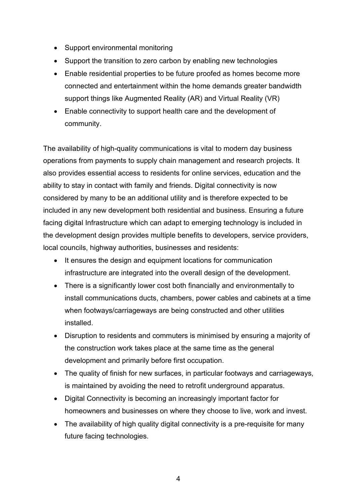- Support environmental monitoring
- Support the transition to zero carbon by enabling new technologies
- Enable residential properties to be future proofed as homes become more connected and entertainment within the home demands greater bandwidth support things like Augmented Reality (AR) and Virtual Reality (VR)
- Enable connectivity to support health care and the development of community.

The availability of high-quality communications is vital to modern day business operations from payments to supply chain management and research projects. It also provides essential access to residents for online services, education and the ability to stay in contact with family and friends. Digital connectivity is now considered by many to be an additional utility and is therefore expected to be included in any new development both residential and business. Ensuring a future facing digital Infrastructure which can adapt to emerging technology is included in the development design provides multiple benefits to developers, service providers, local councils, highway authorities, businesses and residents:

- It ensures the design and equipment locations for communication infrastructure are integrated into the overall design of the development.
- There is a significantly lower cost both financially and environmentally to install communications ducts, chambers, power cables and cabinets at a time when footways/carriageways are being constructed and other utilities installed.
- Disruption to residents and commuters is minimised by ensuring a majority of the construction work takes place at the same time as the general development and primarily before first occupation.
- The quality of finish for new surfaces, in particular footways and carriageways, is maintained by avoiding the need to retrofit underground apparatus.
- Digital Connectivity is becoming an increasingly important factor for homeowners and businesses on where they choose to live, work and invest.
- The availability of high quality digital connectivity is a pre-requisite for many future facing technologies.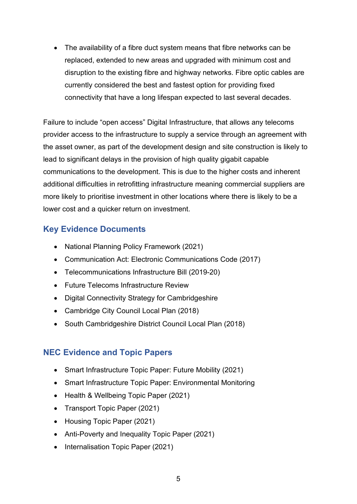• The availability of a fibre duct system means that fibre networks can be replaced, extended to new areas and upgraded with minimum cost and disruption to the existing fibre and highway networks. Fibre optic cables are currently considered the best and fastest option for providing fixed connectivity that have a long lifespan expected to last several decades.

Failure to include "open access" Digital Infrastructure, that allows any telecoms provider access to the infrastructure to supply a service through an agreement with the asset owner, as part of the development design and site construction is likely to lead to significant delays in the provision of high quality gigabit capable communications to the development. This is due to the higher costs and inherent additional difficulties in retrofitting infrastructure meaning commercial suppliers are more likely to prioritise investment in other locations where there is likely to be a lower cost and a quicker return on investment.

## <span id="page-4-0"></span>**Key Evidence Documents**

- National Planning Policy Framework (2021)
- Communication Act: Electronic Communications Code (2017)
- Telecommunications Infrastructure Bill (2019-20)
- Future Telecoms Infrastructure Review
- Digital Connectivity Strategy for Cambridgeshire
- Cambridge City Council Local Plan (2018)
- South Cambridgeshire District Council Local Plan (2018)

# **NEC Evidence and Topic Papers**

- Smart Infrastructure Topic Paper: Future Mobility (2021)
- Smart Infrastructure Topic Paper: Environmental Monitoring
- Health & Wellbeing Topic Paper (2021)
- Transport Topic Paper (2021)
- Housing Topic Paper (2021)
- Anti-Poverty and Inequality Topic Paper (2021)
- Internalisation Topic Paper (2021)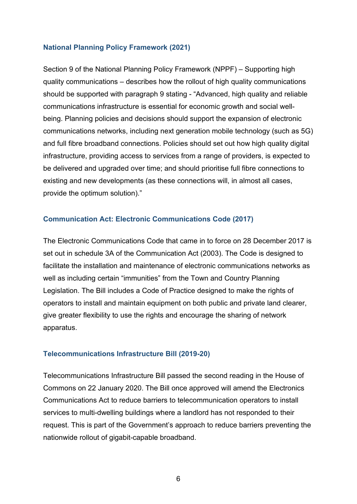#### <span id="page-5-0"></span>**National Planning Policy Framework (2021)**

Section 9 of the National Planning Policy Framework (NPPF) – Supporting high quality communications – describes how the rollout of high quality communications should be supported with paragraph 9 stating - "Advanced, high quality and reliable communications infrastructure is essential for economic growth and social wellbeing. Planning policies and decisions should support the expansion of electronic communications networks, including next generation mobile technology (such as 5G) and full fibre broadband connections. Policies should set out how high quality digital infrastructure, providing access to services from a range of providers, is expected to be delivered and upgraded over time; and should prioritise full fibre connections to existing and new developments (as these connections will, in almost all cases, provide the optimum solution)."

#### <span id="page-5-1"></span>**Communication Act: Electronic Communications Code (2017)**

The Electronic Communications Code that came in to force on 28 December 2017 is set out in schedule 3A of the Communication Act (2003). The Code is designed to facilitate the installation and maintenance of electronic communications networks as well as including certain "immunities" from the Town and Country Planning Legislation. The Bill includes a Code of Practice designed to make the rights of operators to install and maintain equipment on both public and private land clearer, give greater flexibility to use the rights and encourage the sharing of network apparatus.

#### <span id="page-5-2"></span>**Telecommunications Infrastructure Bill (2019-20)**

Telecommunications Infrastructure Bill passed the second reading in the House of Commons on 22 January 2020. The Bill once approved will amend the Electronics Communications Act to reduce barriers to telecommunication operators to install services to multi-dwelling buildings where a landlord has not responded to their request. This is part of the Government's approach to reduce barriers preventing the nationwide rollout of gigabit-capable broadband.

6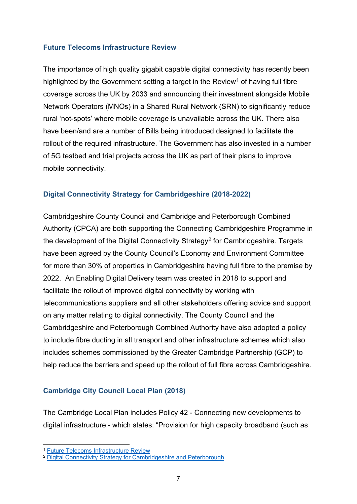#### <span id="page-6-0"></span>**Future Telecoms Infrastructure Review**

The importance of high quality gigabit capable digital connectivity has recently been highlighted by the Government setting a target in the Review<sup>[1](#page-6-3)</sup> of having full fibre coverage across the UK by 2033 and announcing their investment alongside Mobile Network Operators (MNOs) in a Shared Rural Network (SRN) to significantly reduce rural 'not-spots' where mobile coverage is unavailable across the UK. There also have been/and are a number of Bills being introduced designed to facilitate the rollout of the required infrastructure. The Government has also invested in a number of 5G testbed and trial projects across the UK as part of their plans to improve mobile connectivity.

#### <span id="page-6-1"></span>**Digital Connectivity Strategy for Cambridgeshire (2018-2022)**

Cambridgeshire County Council and Cambridge and Peterborough Combined Authority (CPCA) are both supporting the Connecting Cambridgeshire Programme in the development of the Digital Connectivity Strategy<sup>[2](#page-6-4)</sup> for Cambridgeshire. Targets have been agreed by the County Council's Economy and Environment Committee for more than 30% of properties in Cambridgeshire having full fibre to the premise by 2022. An Enabling Digital Delivery team was created in 2018 to support and facilitate the rollout of improved digital connectivity by working with telecommunications suppliers and all other stakeholders offering advice and support on any matter relating to digital connectivity. The County Council and the Cambridgeshire and Peterborough Combined Authority have also adopted a policy to include fibre ducting in all transport and other infrastructure schemes which also includes schemes commissioned by the Greater Cambridge Partnership (GCP) to help reduce the barriers and speed up the rollout of full fibre across Cambridgeshire.

#### <span id="page-6-2"></span>**Cambridge City Council Local Plan (2018)**

The Cambridge Local Plan includes Policy 42 - Connecting new developments to digital infrastructure - which states: "Provision for high capacity broadband (such as

<span id="page-6-3"></span><sup>1</sup> [Future Telecoms Infrastructure Review](https://assets.publishing.service.gov.uk/government/uploads/system/uploads/attachment_data/file/732496/Future_Telecoms_Infrastructure_Review.pdf)

<span id="page-6-4"></span><sup>&</sup>lt;sup>2</sup> [Digital Connectivity Strategy for Cambridgeshire and Peterborough](https://www.connectingcambridgeshire.co.uk/wp-content/uploads/2018/07/Connecting-Cambridgeshire-Digital-Connectivity-Strategy-2018-2022.pdf)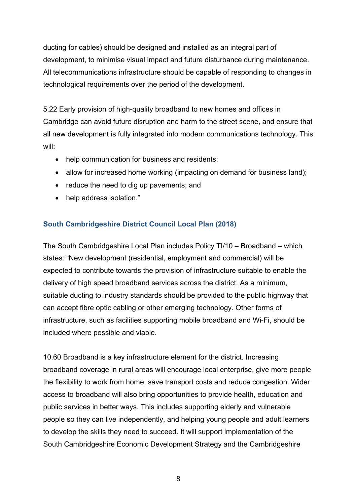ducting for cables) should be designed and installed as an integral part of development, to minimise visual impact and future disturbance during maintenance. All telecommunications infrastructure should be capable of responding to changes in technological requirements over the period of the development.

5.22 Early provision of high-quality broadband to new homes and offices in Cambridge can avoid future disruption and harm to the street scene, and ensure that all new development is fully integrated into modern communications technology. This will:

- help communication for business and residents;
- allow for increased home working (impacting on demand for business land);
- reduce the need to dig up pavements; and
- help address isolation."

#### <span id="page-7-0"></span>**South Cambridgeshire District Council Local Plan (2018)**

The South Cambridgeshire Local Plan includes Policy TI/10 – Broadband – which states: "New development (residential, employment and commercial) will be expected to contribute towards the provision of infrastructure suitable to enable the delivery of high speed broadband services across the district. As a minimum, suitable ducting to industry standards should be provided to the public highway that can accept fibre optic cabling or other emerging technology. Other forms of infrastructure, such as facilities supporting mobile broadband and Wi-Fi, should be included where possible and viable.

10.60 Broadband is a key infrastructure element for the district. Increasing broadband coverage in rural areas will encourage local enterprise, give more people the flexibility to work from home, save transport costs and reduce congestion. Wider access to broadband will also bring opportunities to provide health, education and public services in better ways. This includes supporting elderly and vulnerable people so they can live independently, and helping young people and adult learners to develop the skills they need to succeed. It will support implementation of the South Cambridgeshire Economic Development Strategy and the Cambridgeshire

8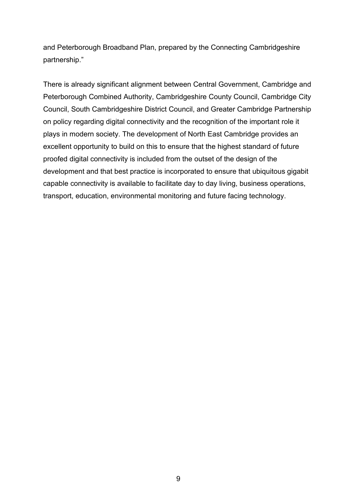and Peterborough Broadband Plan, prepared by the Connecting Cambridgeshire partnership."

There is already significant alignment between Central Government, Cambridge and Peterborough Combined Authority, Cambridgeshire County Council, Cambridge City Council, South Cambridgeshire District Council, and Greater Cambridge Partnership on policy regarding digital connectivity and the recognition of the important role it plays in modern society. The development of North East Cambridge provides an excellent opportunity to build on this to ensure that the highest standard of future proofed digital connectivity is included from the outset of the design of the development and that best practice is incorporated to ensure that ubiquitous gigabit capable connectivity is available to facilitate day to day living, business operations, transport, education, environmental monitoring and future facing technology.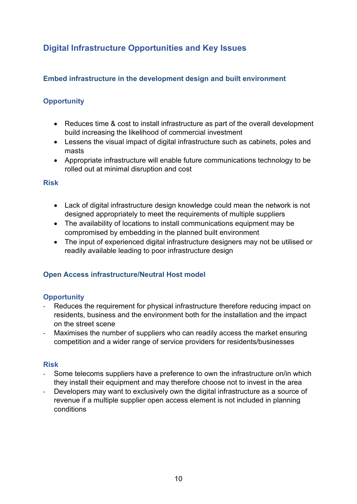# <span id="page-9-0"></span>**Digital Infrastructure Opportunities and Key Issues**

#### <span id="page-9-1"></span>**Embed infrastructure in the development design and built environment**

## **Opportunity**

- Reduces time & cost to install infrastructure as part of the overall development build increasing the likelihood of commercial investment
- Lessens the visual impact of digital infrastructure such as cabinets, poles and masts
- Appropriate infrastructure will enable future communications technology to be rolled out at minimal disruption and cost

#### **Risk**

- Lack of digital infrastructure design knowledge could mean the network is not designed appropriately to meet the requirements of multiple suppliers
- The availability of locations to install communications equipment may be compromised by embedding in the planned built environment
- The input of experienced digital infrastructure designers may not be utilised or readily available leading to poor infrastructure design

#### <span id="page-9-2"></span>**Open Access infrastructure/Neutral Host model**

#### **Opportunity**

- Reduces the requirement for physical infrastructure therefore reducing impact on residents, business and the environment both for the installation and the impact on the street scene
- Maximises the number of suppliers who can readily access the market ensuring competition and a wider range of service providers for residents/businesses

#### **Risk**

- Some telecoms suppliers have a preference to own the infrastructure on/in which they install their equipment and may therefore choose not to invest in the area
- Developers may want to exclusively own the digital infrastructure as a source of revenue if a multiple supplier open access element is not included in planning conditions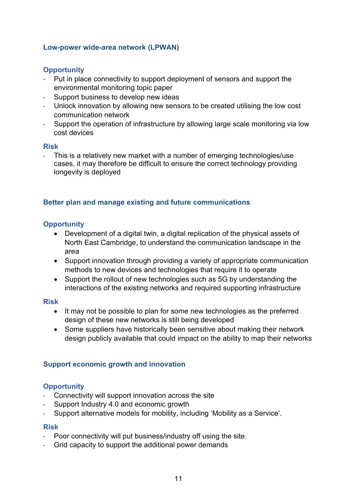#### <span id="page-10-0"></span>**Low-power wide-area network (LPWAN)**

#### **Opportunity**

- **-** Put in place connectivity to support deployment of sensors and support the environmental monitoring topic paper
- **-** Support business to develop new ideas
- **-** Unlock innovation by allowing new sensors to be created utilising the low cost communication network
- **-** Support the operation of infrastructure by allowing large scale monitoring via low cost devices

#### **Risk**

This is a relatively new market with a number of emerging technologies/use cases, it may therefore be difficult to ensure the correct technology providing longevity is deployed

#### <span id="page-10-1"></span>**Better plan and manage existing and future communications**

#### **Opportunity**

- Development of a digital twin, a digital replication of the physical assets of North East Cambridge, to understand the communication landscape in the area
- Support innovation through providing a variety of appropriate communication methods to new devices and technologies that require it to operate
- Support the rollout of new technologies such as 5G by understanding the interactions of the existing networks and required supporting infrastructure

#### **Risk**

- It may not be possible to plan for some new technologies as the preferred design of these new networks is still being developed
- Some suppliers have historically been sensitive about making their network design publicly available that could impact on the ability to map their networks

#### <span id="page-10-2"></span>**Support economic growth and innovation**

#### **Opportunity**

- Connectivity will support innovation across the site
- Support Industry 4.0 and economic growth
- Support alternative models for mobility, including 'Mobility as a Service'.

#### **Risk**

- Poor connectivity will put business/industry off using the site.
- Grid capacity to support the additional power demands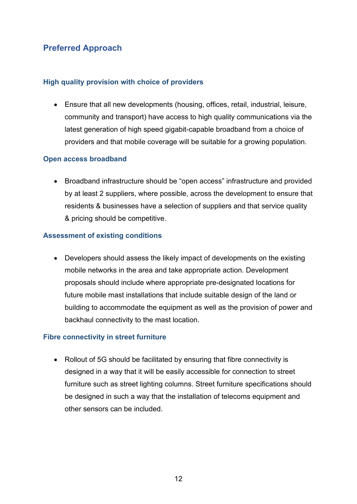# <span id="page-11-0"></span>**Preferred Approach**

#### <span id="page-11-1"></span>**High quality provision with choice of providers**

• Ensure that all new developments (housing, offices, retail, industrial, leisure, community and transport) have access to high quality communications via the latest generation of high speed gigabit-capable broadband from a choice of providers and that mobile coverage will be suitable for a growing population.

#### <span id="page-11-2"></span>**Open access broadband**

• Broadband infrastructure should be "open access" infrastructure and provided by at least 2 suppliers, where possible, across the development to ensure that residents & businesses have a selection of suppliers and that service quality & pricing should be competitive.

#### <span id="page-11-3"></span>**Assessment of existing conditions**

• Developers should assess the likely impact of developments on the existing mobile networks in the area and take appropriate action. Development proposals should include where appropriate pre-designated locations for future mobile mast installations that include suitable design of the land or building to accommodate the equipment as well as the provision of power and backhaul connectivity to the mast location.

#### <span id="page-11-4"></span>**Fibre connectivity in street furniture**

• Rollout of 5G should be facilitated by ensuring that fibre connectivity is designed in a way that it will be easily accessible for connection to street furniture such as street lighting columns. Street furniture specifications should be designed in such a way that the installation of telecoms equipment and other sensors can be included.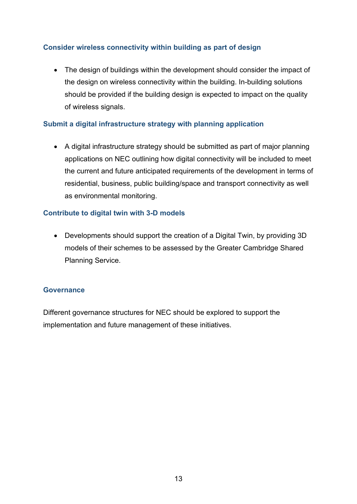#### <span id="page-12-0"></span>**Consider wireless connectivity within building as part of design**

• The design of buildings within the development should consider the impact of the design on wireless connectivity within the building. In-building solutions should be provided if the building design is expected to impact on the quality of wireless signals.

#### <span id="page-12-1"></span>**Submit a digital infrastructure strategy with planning application**

• A digital infrastructure strategy should be submitted as part of major planning applications on NEC outlining how digital connectivity will be included to meet the current and future anticipated requirements of the development in terms of residential, business, public building/space and transport connectivity as well as environmental monitoring.

#### <span id="page-12-2"></span>**Contribute to digital twin with 3-D models**

• Developments should support the creation of a Digital Twin, by providing 3D models of their schemes to be assessed by the Greater Cambridge Shared Planning Service.

#### <span id="page-12-3"></span>**Governance**

Different governance structures for NEC should be explored to support the implementation and future management of these initiatives.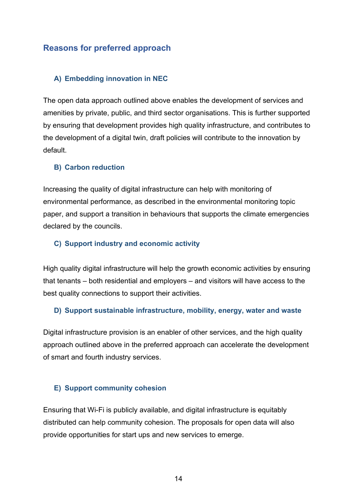#### <span id="page-13-0"></span>**Reasons for preferred approach**

#### <span id="page-13-1"></span>**A) Embedding innovation in NEC**

The open data approach outlined above enables the development of services and amenities by private, public, and third sector organisations. This is further supported by ensuring that development provides high quality infrastructure, and contributes to the development of a digital twin, draft policies will contribute to the innovation by default.

#### <span id="page-13-2"></span>**B) Carbon reduction**

Increasing the quality of digital infrastructure can help with monitoring of environmental performance, as described in the environmental monitoring topic paper, and support a transition in behaviours that supports the climate emergencies declared by the councils.

#### <span id="page-13-3"></span>**C) Support industry and economic activity**

High quality digital infrastructure will help the growth economic activities by ensuring that tenants – both residential and employers – and visitors will have access to the best quality connections to support their activities.

#### <span id="page-13-4"></span>**D) Support sustainable infrastructure, mobility, energy, water and waste**

Digital infrastructure provision is an enabler of other services, and the high quality approach outlined above in the preferred approach can accelerate the development of smart and fourth industry services.

#### <span id="page-13-5"></span>**E) Support community cohesion**

Ensuring that Wi-Fi is publicly available, and digital infrastructure is equitably distributed can help community cohesion. The proposals for open data will also provide opportunities for start ups and new services to emerge.